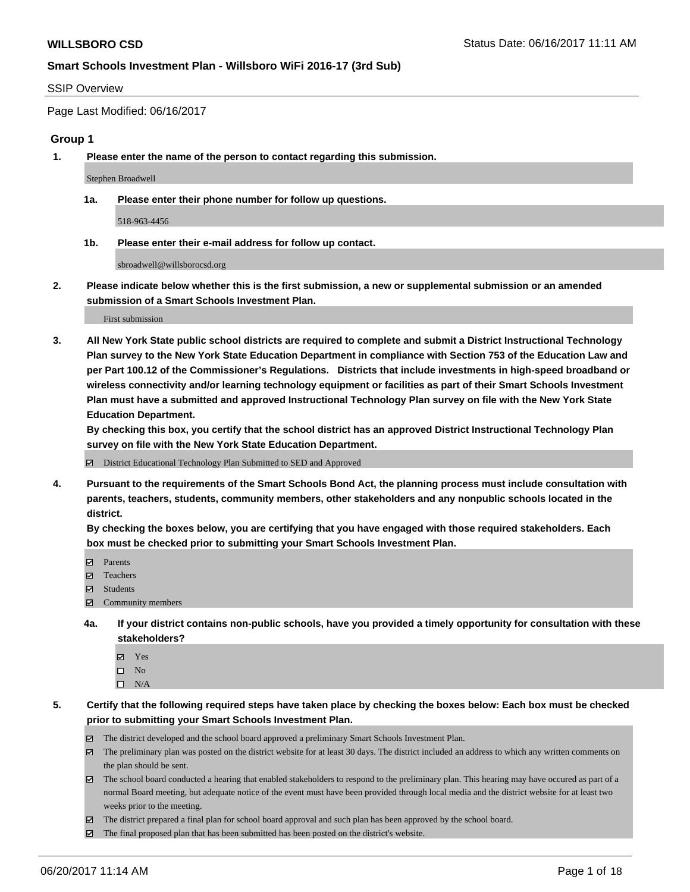#### SSIP Overview

Page Last Modified: 06/16/2017

#### **Group 1**

**1. Please enter the name of the person to contact regarding this submission.**

Stephen Broadwell

**1a. Please enter their phone number for follow up questions.**

518-963-4456

**1b. Please enter their e-mail address for follow up contact.**

sbroadwell@willsborocsd.org

**2. Please indicate below whether this is the first submission, a new or supplemental submission or an amended submission of a Smart Schools Investment Plan.**

First submission

**3. All New York State public school districts are required to complete and submit a District Instructional Technology Plan survey to the New York State Education Department in compliance with Section 753 of the Education Law and per Part 100.12 of the Commissioner's Regulations. Districts that include investments in high-speed broadband or wireless connectivity and/or learning technology equipment or facilities as part of their Smart Schools Investment Plan must have a submitted and approved Instructional Technology Plan survey on file with the New York State Education Department.** 

**By checking this box, you certify that the school district has an approved District Instructional Technology Plan survey on file with the New York State Education Department.**

District Educational Technology Plan Submitted to SED and Approved

**4. Pursuant to the requirements of the Smart Schools Bond Act, the planning process must include consultation with parents, teachers, students, community members, other stakeholders and any nonpublic schools located in the district.** 

**By checking the boxes below, you are certifying that you have engaged with those required stakeholders. Each box must be checked prior to submitting your Smart Schools Investment Plan.**

- **マ** Parents
- □ Teachers
- Students
- $\Xi$  Community members
- **4a. If your district contains non-public schools, have you provided a timely opportunity for consultation with these stakeholders?**
	- Yes
	- $\hfill \square$  No
	- $\square$  N/A
- **5. Certify that the following required steps have taken place by checking the boxes below: Each box must be checked prior to submitting your Smart Schools Investment Plan.**
	- The district developed and the school board approved a preliminary Smart Schools Investment Plan.
	- $\boxtimes$  The preliminary plan was posted on the district website for at least 30 days. The district included an address to which any written comments on the plan should be sent.
	- $\boxtimes$  The school board conducted a hearing that enabled stakeholders to respond to the preliminary plan. This hearing may have occured as part of a normal Board meeting, but adequate notice of the event must have been provided through local media and the district website for at least two weeks prior to the meeting.
	- The district prepared a final plan for school board approval and such plan has been approved by the school board.
	- $\boxtimes$  The final proposed plan that has been submitted has been posted on the district's website.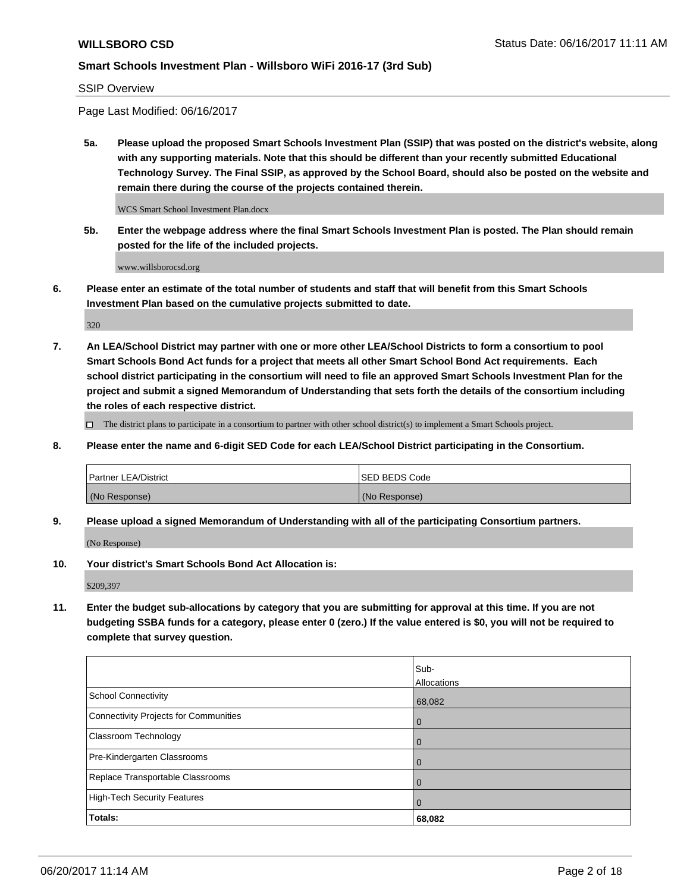SSIP Overview

Page Last Modified: 06/16/2017

**5a. Please upload the proposed Smart Schools Investment Plan (SSIP) that was posted on the district's website, along with any supporting materials. Note that this should be different than your recently submitted Educational Technology Survey. The Final SSIP, as approved by the School Board, should also be posted on the website and remain there during the course of the projects contained therein.**

WCS Smart School Investment Plan.docx

**5b. Enter the webpage address where the final Smart Schools Investment Plan is posted. The Plan should remain posted for the life of the included projects.**

www.willsborocsd.org

**6. Please enter an estimate of the total number of students and staff that will benefit from this Smart Schools Investment Plan based on the cumulative projects submitted to date.**

320

**7. An LEA/School District may partner with one or more other LEA/School Districts to form a consortium to pool Smart Schools Bond Act funds for a project that meets all other Smart School Bond Act requirements. Each school district participating in the consortium will need to file an approved Smart Schools Investment Plan for the project and submit a signed Memorandum of Understanding that sets forth the details of the consortium including the roles of each respective district.**

 $\Box$  The district plans to participate in a consortium to partner with other school district(s) to implement a Smart Schools project.

**8. Please enter the name and 6-digit SED Code for each LEA/School District participating in the Consortium.**

| <b>Partner LEA/District</b> | <b>ISED BEDS Code</b> |
|-----------------------------|-----------------------|
| (No Response)               | (No Response)         |

**9. Please upload a signed Memorandum of Understanding with all of the participating Consortium partners.**

(No Response)

**10. Your district's Smart Schools Bond Act Allocation is:**

\$209,397

**11. Enter the budget sub-allocations by category that you are submitting for approval at this time. If you are not budgeting SSBA funds for a category, please enter 0 (zero.) If the value entered is \$0, you will not be required to complete that survey question.**

|                                              | Sub-<br>Allocations |
|----------------------------------------------|---------------------|
|                                              |                     |
| <b>School Connectivity</b>                   | 68,082              |
| <b>Connectivity Projects for Communities</b> | 0                   |
| Classroom Technology                         | $\overline{0}$      |
| Pre-Kindergarten Classrooms                  | $\overline{0}$      |
| Replace Transportable Classrooms             | 0                   |
| <b>High-Tech Security Features</b>           | $\overline{0}$      |
| Totals:                                      | 68,082              |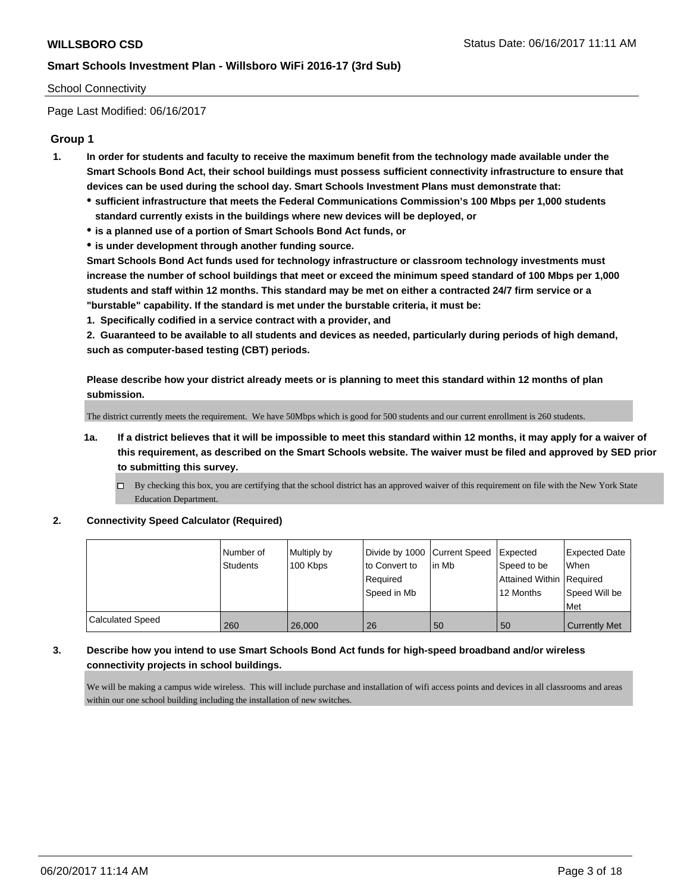### School Connectivity

Page Last Modified: 06/16/2017

## **Group 1**

- **1. In order for students and faculty to receive the maximum benefit from the technology made available under the Smart Schools Bond Act, their school buildings must possess sufficient connectivity infrastructure to ensure that devices can be used during the school day. Smart Schools Investment Plans must demonstrate that:**
	- **sufficient infrastructure that meets the Federal Communications Commission's 100 Mbps per 1,000 students standard currently exists in the buildings where new devices will be deployed, or**
	- **is a planned use of a portion of Smart Schools Bond Act funds, or**
	- **is under development through another funding source.**

**Smart Schools Bond Act funds used for technology infrastructure or classroom technology investments must increase the number of school buildings that meet or exceed the minimum speed standard of 100 Mbps per 1,000 students and staff within 12 months. This standard may be met on either a contracted 24/7 firm service or a "burstable" capability. If the standard is met under the burstable criteria, it must be:**

**1. Specifically codified in a service contract with a provider, and**

**2. Guaranteed to be available to all students and devices as needed, particularly during periods of high demand, such as computer-based testing (CBT) periods.**

**Please describe how your district already meets or is planning to meet this standard within 12 months of plan submission.**

The district currently meets the requirement. We have 50Mbps which is good for 500 students and our current enrollment is 260 students.

- **1a. If a district believes that it will be impossible to meet this standard within 12 months, it may apply for a waiver of this requirement, as described on the Smart Schools website. The waiver must be filed and approved by SED prior to submitting this survey.**
	- By checking this box, you are certifying that the school district has an approved waiver of this requirement on file with the New York State Education Department.

#### **2. Connectivity Speed Calculator (Required)**

|                         | Number of<br><b>Students</b> | Multiply by<br>100 Kbps | Divide by 1000 Current Speed<br>to Convert to<br>Required<br>Speed in Mb | in Mb | Expected<br>Speed to be<br>Attained Within   Required<br>12 Months | <b>Expected Date</b><br><b>When</b><br>Speed Will be<br>Met |
|-------------------------|------------------------------|-------------------------|--------------------------------------------------------------------------|-------|--------------------------------------------------------------------|-------------------------------------------------------------|
| <b>Calculated Speed</b> | 260                          | 26,000                  | 26                                                                       | 50    | 50                                                                 | Currently Met                                               |

## **3. Describe how you intend to use Smart Schools Bond Act funds for high-speed broadband and/or wireless connectivity projects in school buildings.**

We will be making a campus wide wireless. This will include purchase and installation of wifi access points and devices in all classrooms and areas within our one school building including the installation of new switches.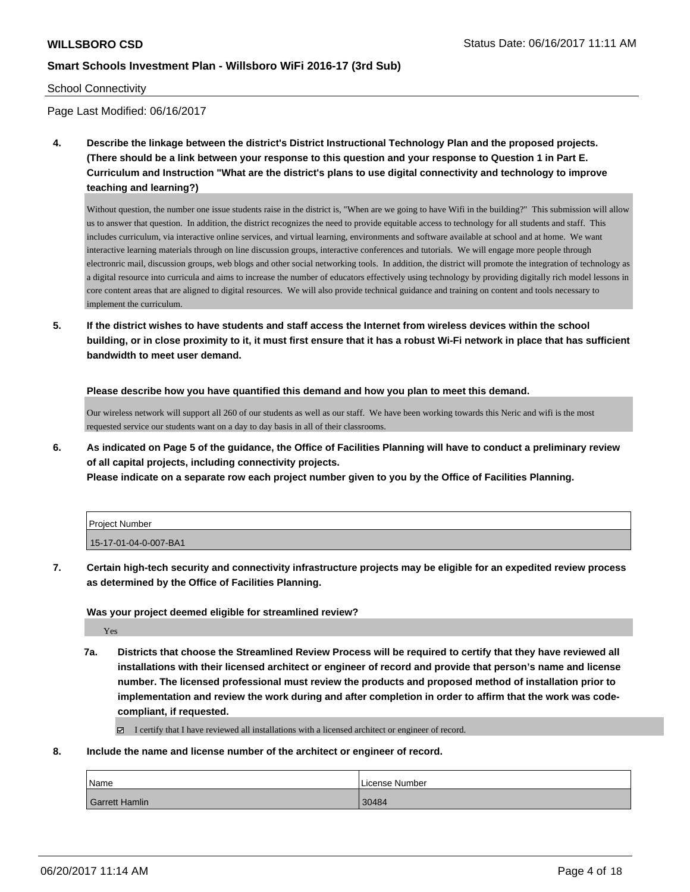#### School Connectivity

Page Last Modified: 06/16/2017

**4. Describe the linkage between the district's District Instructional Technology Plan and the proposed projects. (There should be a link between your response to this question and your response to Question 1 in Part E. Curriculum and Instruction "What are the district's plans to use digital connectivity and technology to improve teaching and learning?)**

Without question, the number one issue students raise in the district is, "When are we going to have Wifi in the building?" This submission will allow us to answer that question. In addition, the district recognizes the need to provide equitable access to technology for all students and staff. This includes curriculum, via interactive online services, and virtual learning, environments and software available at school and at home. We want interactive learning materials through on line discussion groups, interactive conferences and tutorials. We will engage more people through electronric mail, discussion groups, web blogs and other social networking tools. In addition, the district will promote the integration of technology as a digital resource into curricula and aims to increase the number of educators effectively using technology by providing digitally rich model lessons in core content areas that are aligned to digital resources. We will also provide technical guidance and training on content and tools necessary to implement the curriculum.

**5. If the district wishes to have students and staff access the Internet from wireless devices within the school building, or in close proximity to it, it must first ensure that it has a robust Wi-Fi network in place that has sufficient bandwidth to meet user demand.**

**Please describe how you have quantified this demand and how you plan to meet this demand.**

Our wireless network will support all 260 of our students as well as our staff. We have been working towards this Neric and wifi is the most requested service our students want on a day to day basis in all of their classrooms.

**6. As indicated on Page 5 of the guidance, the Office of Facilities Planning will have to conduct a preliminary review of all capital projects, including connectivity projects.**

**Please indicate on a separate row each project number given to you by the Office of Facilities Planning.**

| l Proiect Number      |  |
|-----------------------|--|
| 15-17-01-04-0-007-BA1 |  |

**7. Certain high-tech security and connectivity infrastructure projects may be eligible for an expedited review process as determined by the Office of Facilities Planning.**

#### **Was your project deemed eligible for streamlined review?**

Yes

**7a. Districts that choose the Streamlined Review Process will be required to certify that they have reviewed all installations with their licensed architect or engineer of record and provide that person's name and license number. The licensed professional must review the products and proposed method of installation prior to implementation and review the work during and after completion in order to affirm that the work was codecompliant, if requested.**

I certify that I have reviewed all installations with a licensed architect or engineer of record.

**8. Include the name and license number of the architect or engineer of record.**

| Name                  | License Number |
|-----------------------|----------------|
| <b>Garrett Hamlin</b> | 30484          |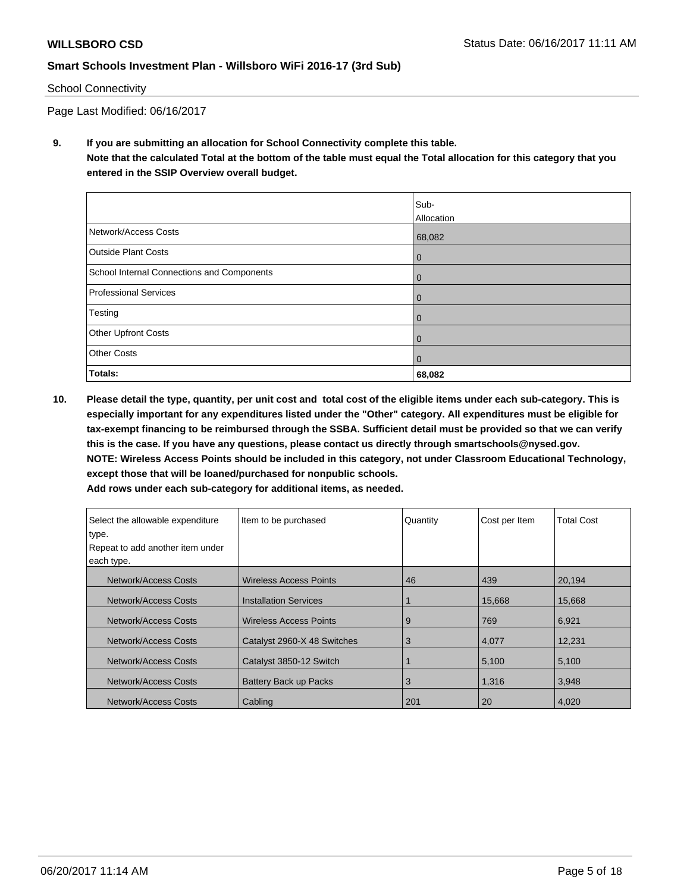#### School Connectivity

Page Last Modified: 06/16/2017

**9. If you are submitting an allocation for School Connectivity complete this table. Note that the calculated Total at the bottom of the table must equal the Total allocation for this category that you entered in the SSIP Overview overall budget.** 

|                                            | Sub-<br>Allocation |
|--------------------------------------------|--------------------|
| Network/Access Costs                       | 68,082             |
| <b>Outside Plant Costs</b>                 | 0                  |
| School Internal Connections and Components | 0                  |
| <b>Professional Services</b>               | 0                  |
| Testing                                    | 0                  |
| Other Upfront Costs                        | 0                  |
| <b>Other Costs</b>                         | $\Omega$           |
| Totals:                                    | 68,082             |

**10. Please detail the type, quantity, per unit cost and total cost of the eligible items under each sub-category. This is especially important for any expenditures listed under the "Other" category. All expenditures must be eligible for tax-exempt financing to be reimbursed through the SSBA. Sufficient detail must be provided so that we can verify this is the case. If you have any questions, please contact us directly through smartschools@nysed.gov. NOTE: Wireless Access Points should be included in this category, not under Classroom Educational Technology, except those that will be loaned/purchased for nonpublic schools.**

| Add rows under each sub-category for additional items, as needed. |  |
|-------------------------------------------------------------------|--|
|-------------------------------------------------------------------|--|

| Select the allowable expenditure | Item to be purchased          | Quantity | Cost per Item | <b>Total Cost</b> |
|----------------------------------|-------------------------------|----------|---------------|-------------------|
| type.                            |                               |          |               |                   |
| Repeat to add another item under |                               |          |               |                   |
| each type.                       |                               |          |               |                   |
| Network/Access Costs             | <b>Wireless Access Points</b> | 46       | 439           | 20,194            |
| Network/Access Costs             | <b>Installation Services</b>  |          | 15,668        | 15,668            |
| Network/Access Costs             | <b>Wireless Access Points</b> | 9        | 769           | 6,921             |
| Network/Access Costs             | Catalyst 2960-X 48 Switches   | 3        | 4,077         | 12,231            |
| Network/Access Costs             | Catalyst 3850-12 Switch       |          | 5,100         | 5,100             |
| Network/Access Costs             | <b>Battery Back up Packs</b>  | 3        | 1,316         | 3,948             |
| Network/Access Costs             | Cabling                       | 201      | 20            | 4,020             |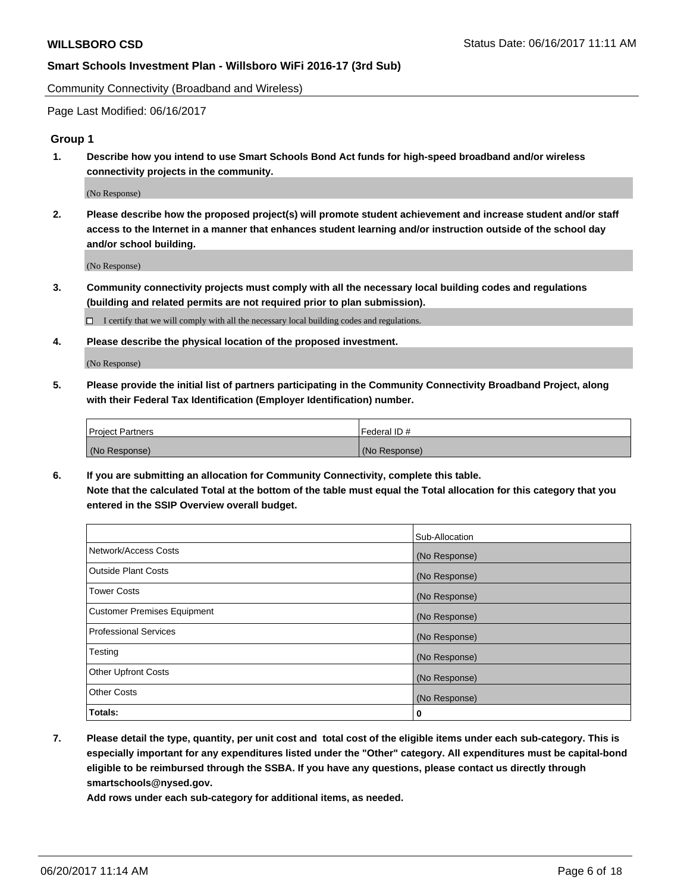Community Connectivity (Broadband and Wireless)

Page Last Modified: 06/16/2017

#### **Group 1**

**1. Describe how you intend to use Smart Schools Bond Act funds for high-speed broadband and/or wireless connectivity projects in the community.**

(No Response)

**2. Please describe how the proposed project(s) will promote student achievement and increase student and/or staff access to the Internet in a manner that enhances student learning and/or instruction outside of the school day and/or school building.**

(No Response)

**3. Community connectivity projects must comply with all the necessary local building codes and regulations (building and related permits are not required prior to plan submission).**

 $\Box$  I certify that we will comply with all the necessary local building codes and regulations.

**4. Please describe the physical location of the proposed investment.**

(No Response)

**5. Please provide the initial list of partners participating in the Community Connectivity Broadband Project, along with their Federal Tax Identification (Employer Identification) number.**

| <b>Project Partners</b> | Federal ID#     |
|-------------------------|-----------------|
| (No Response)           | l (No Response) |

**6. If you are submitting an allocation for Community Connectivity, complete this table. Note that the calculated Total at the bottom of the table must equal the Total allocation for this category that you entered in the SSIP Overview overall budget.**

|                                    | Sub-Allocation |
|------------------------------------|----------------|
| Network/Access Costs               | (No Response)  |
| Outside Plant Costs                | (No Response)  |
| <b>Tower Costs</b>                 | (No Response)  |
| <b>Customer Premises Equipment</b> | (No Response)  |
| <b>Professional Services</b>       | (No Response)  |
| Testing                            | (No Response)  |
| <b>Other Upfront Costs</b>         | (No Response)  |
| <b>Other Costs</b>                 | (No Response)  |
| Totals:                            | 0              |

**7. Please detail the type, quantity, per unit cost and total cost of the eligible items under each sub-category. This is especially important for any expenditures listed under the "Other" category. All expenditures must be capital-bond eligible to be reimbursed through the SSBA. If you have any questions, please contact us directly through smartschools@nysed.gov.**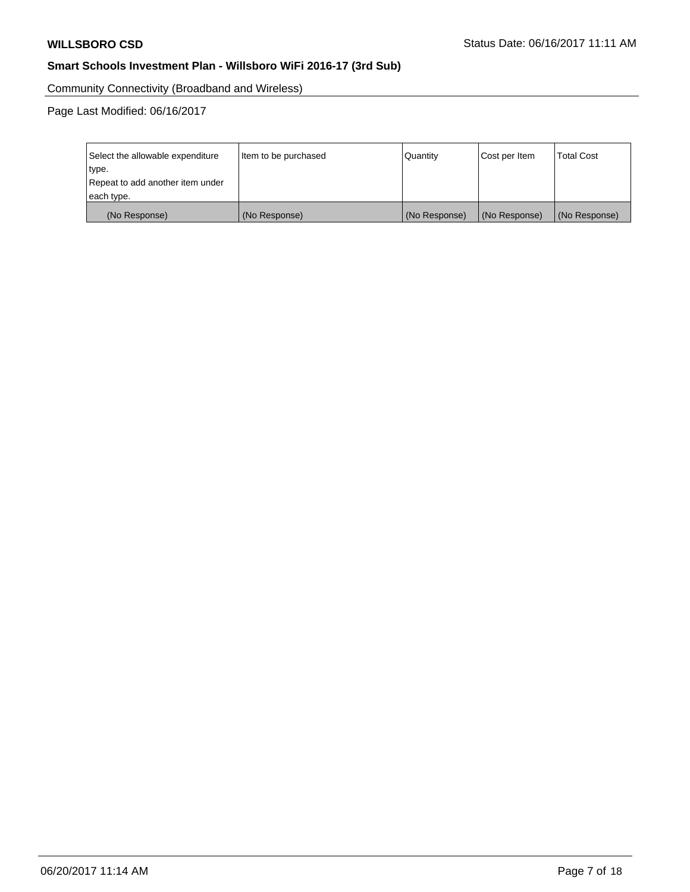Community Connectivity (Broadband and Wireless)

Page Last Modified: 06/16/2017

| Select the allowable expenditure<br>type.      | Item to be purchased | Quantity      | Cost per Item | <b>Total Cost</b> |
|------------------------------------------------|----------------------|---------------|---------------|-------------------|
| Repeat to add another item under<br>each type. |                      |               |               |                   |
| (No Response)                                  | (No Response)        | (No Response) | (No Response) | (No Response)     |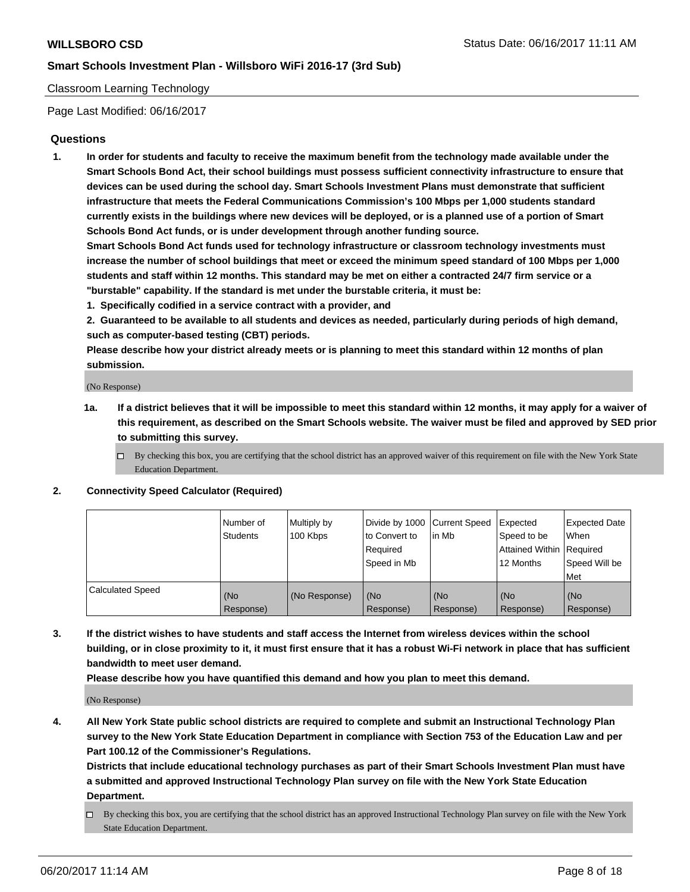#### Classroom Learning Technology

Page Last Modified: 06/16/2017

#### **Questions**

**1. In order for students and faculty to receive the maximum benefit from the technology made available under the Smart Schools Bond Act, their school buildings must possess sufficient connectivity infrastructure to ensure that devices can be used during the school day. Smart Schools Investment Plans must demonstrate that sufficient infrastructure that meets the Federal Communications Commission's 100 Mbps per 1,000 students standard currently exists in the buildings where new devices will be deployed, or is a planned use of a portion of Smart Schools Bond Act funds, or is under development through another funding source.**

**Smart Schools Bond Act funds used for technology infrastructure or classroom technology investments must increase the number of school buildings that meet or exceed the minimum speed standard of 100 Mbps per 1,000 students and staff within 12 months. This standard may be met on either a contracted 24/7 firm service or a "burstable" capability. If the standard is met under the burstable criteria, it must be:**

- **1. Specifically codified in a service contract with a provider, and**
- **2. Guaranteed to be available to all students and devices as needed, particularly during periods of high demand, such as computer-based testing (CBT) periods.**

**Please describe how your district already meets or is planning to meet this standard within 12 months of plan submission.**

(No Response)

- **1a. If a district believes that it will be impossible to meet this standard within 12 months, it may apply for a waiver of this requirement, as described on the Smart Schools website. The waiver must be filed and approved by SED prior to submitting this survey.**
	- $\Box$  By checking this box, you are certifying that the school district has an approved waiver of this requirement on file with the New York State Education Department.

#### **2. Connectivity Speed Calculator (Required)**

|                         | l Number of<br>Students | Multiply by<br>100 Kbps | Divide by 1000   Current Speed<br>to Convert to<br>Required<br>Speed in Mb | lin Mb           | Expected<br>Speed to be<br>Attained Within Required<br>12 Months | <b>Expected Date</b><br>When<br>Speed Will be<br>Met |
|-------------------------|-------------------------|-------------------------|----------------------------------------------------------------------------|------------------|------------------------------------------------------------------|------------------------------------------------------|
| <b>Calculated Speed</b> | (No<br>Response)        | (No Response)           | (No<br>Response)                                                           | (No<br>Response) | (No<br>Response)                                                 | (No<br>Response)                                     |

**3. If the district wishes to have students and staff access the Internet from wireless devices within the school building, or in close proximity to it, it must first ensure that it has a robust Wi-Fi network in place that has sufficient bandwidth to meet user demand.**

**Please describe how you have quantified this demand and how you plan to meet this demand.**

(No Response)

**4. All New York State public school districts are required to complete and submit an Instructional Technology Plan survey to the New York State Education Department in compliance with Section 753 of the Education Law and per Part 100.12 of the Commissioner's Regulations.**

**Districts that include educational technology purchases as part of their Smart Schools Investment Plan must have a submitted and approved Instructional Technology Plan survey on file with the New York State Education Department.**

 $\Box$  By checking this box, you are certifying that the school district has an approved Instructional Technology Plan survey on file with the New York State Education Department.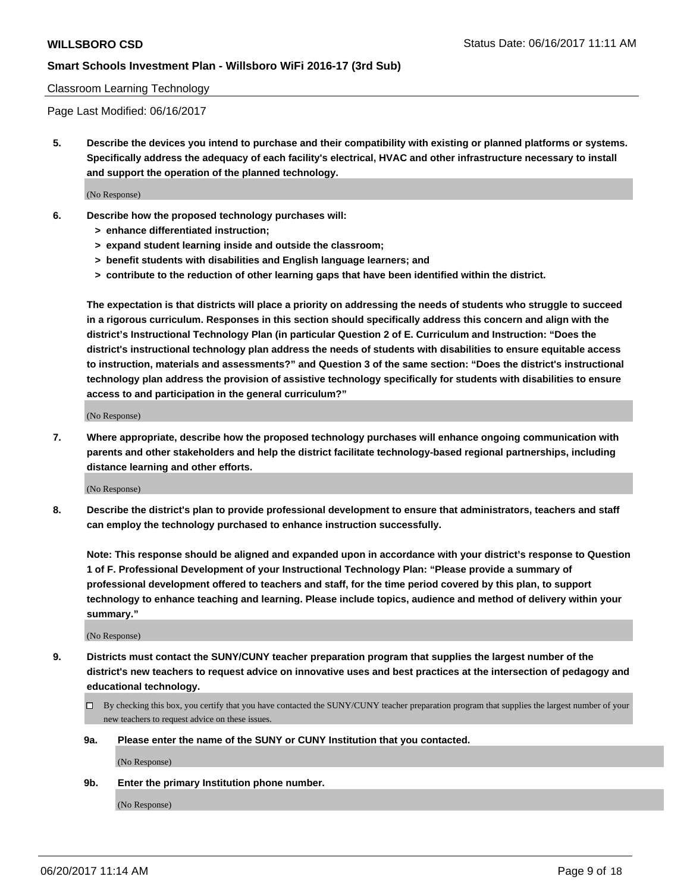#### Classroom Learning Technology

Page Last Modified: 06/16/2017

**5. Describe the devices you intend to purchase and their compatibility with existing or planned platforms or systems. Specifically address the adequacy of each facility's electrical, HVAC and other infrastructure necessary to install and support the operation of the planned technology.**

(No Response)

- **6. Describe how the proposed technology purchases will:**
	- **> enhance differentiated instruction;**
	- **> expand student learning inside and outside the classroom;**
	- **> benefit students with disabilities and English language learners; and**
	- **> contribute to the reduction of other learning gaps that have been identified within the district.**

**The expectation is that districts will place a priority on addressing the needs of students who struggle to succeed in a rigorous curriculum. Responses in this section should specifically address this concern and align with the district's Instructional Technology Plan (in particular Question 2 of E. Curriculum and Instruction: "Does the district's instructional technology plan address the needs of students with disabilities to ensure equitable access to instruction, materials and assessments?" and Question 3 of the same section: "Does the district's instructional technology plan address the provision of assistive technology specifically for students with disabilities to ensure access to and participation in the general curriculum?"**

(No Response)

**7. Where appropriate, describe how the proposed technology purchases will enhance ongoing communication with parents and other stakeholders and help the district facilitate technology-based regional partnerships, including distance learning and other efforts.**

(No Response)

**8. Describe the district's plan to provide professional development to ensure that administrators, teachers and staff can employ the technology purchased to enhance instruction successfully.**

**Note: This response should be aligned and expanded upon in accordance with your district's response to Question 1 of F. Professional Development of your Instructional Technology Plan: "Please provide a summary of professional development offered to teachers and staff, for the time period covered by this plan, to support technology to enhance teaching and learning. Please include topics, audience and method of delivery within your summary."**

(No Response)

- **9. Districts must contact the SUNY/CUNY teacher preparation program that supplies the largest number of the district's new teachers to request advice on innovative uses and best practices at the intersection of pedagogy and educational technology.**
	- By checking this box, you certify that you have contacted the SUNY/CUNY teacher preparation program that supplies the largest number of your new teachers to request advice on these issues.
	- **9a. Please enter the name of the SUNY or CUNY Institution that you contacted.**

(No Response)

**9b. Enter the primary Institution phone number.**

(No Response)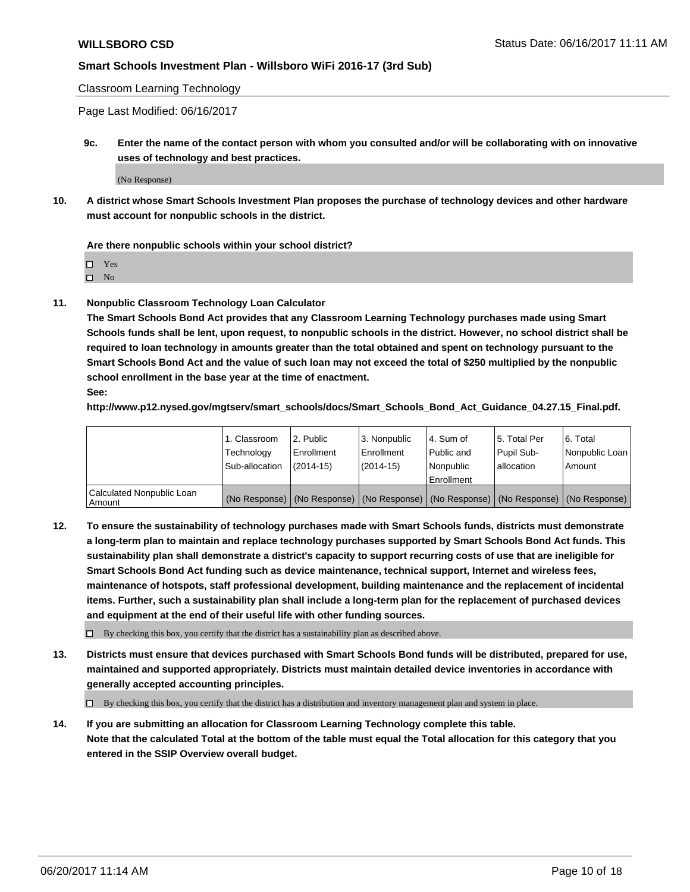Classroom Learning Technology

Page Last Modified: 06/16/2017

**9c. Enter the name of the contact person with whom you consulted and/or will be collaborating with on innovative uses of technology and best practices.**

(No Response)

**10. A district whose Smart Schools Investment Plan proposes the purchase of technology devices and other hardware must account for nonpublic schools in the district.**

**Are there nonpublic schools within your school district?**

Yes

 $\square$  No

**11. Nonpublic Classroom Technology Loan Calculator**

**The Smart Schools Bond Act provides that any Classroom Learning Technology purchases made using Smart Schools funds shall be lent, upon request, to nonpublic schools in the district. However, no school district shall be required to loan technology in amounts greater than the total obtained and spent on technology pursuant to the Smart Schools Bond Act and the value of such loan may not exceed the total of \$250 multiplied by the nonpublic school enrollment in the base year at the time of enactment.**

**See:**

**http://www.p12.nysed.gov/mgtserv/smart\_schools/docs/Smart\_Schools\_Bond\_Act\_Guidance\_04.27.15\_Final.pdf.**

|                                       | 1. Classroom   | l 2. Public   | 3. Nonpublic | l 4. Sum of | 15. Total Per                                                                                 | 6. Total       |
|---------------------------------------|----------------|---------------|--------------|-------------|-----------------------------------------------------------------------------------------------|----------------|
|                                       | Technology     | Enrollment    | Enrollment   | Public and  | Pupil Sub-                                                                                    | Nonpublic Loan |
|                                       | Sub-allocation | $(2014 - 15)$ | $(2014-15)$  | l Nonpublic | allocation                                                                                    | Amount         |
|                                       |                |               |              | Enrollment  |                                                                                               |                |
| Calculated Nonpublic Loan<br>  Amount |                |               |              |             | (No Response)   (No Response)   (No Response)   (No Response)   (No Response)   (No Response) |                |

**12. To ensure the sustainability of technology purchases made with Smart Schools funds, districts must demonstrate a long-term plan to maintain and replace technology purchases supported by Smart Schools Bond Act funds. This sustainability plan shall demonstrate a district's capacity to support recurring costs of use that are ineligible for Smart Schools Bond Act funding such as device maintenance, technical support, Internet and wireless fees, maintenance of hotspots, staff professional development, building maintenance and the replacement of incidental items. Further, such a sustainability plan shall include a long-term plan for the replacement of purchased devices and equipment at the end of their useful life with other funding sources.**

 $\Box$  By checking this box, you certify that the district has a sustainability plan as described above.

**13. Districts must ensure that devices purchased with Smart Schools Bond funds will be distributed, prepared for use, maintained and supported appropriately. Districts must maintain detailed device inventories in accordance with generally accepted accounting principles.**

By checking this box, you certify that the district has a distribution and inventory management plan and system in place.

**14. If you are submitting an allocation for Classroom Learning Technology complete this table. Note that the calculated Total at the bottom of the table must equal the Total allocation for this category that you entered in the SSIP Overview overall budget.**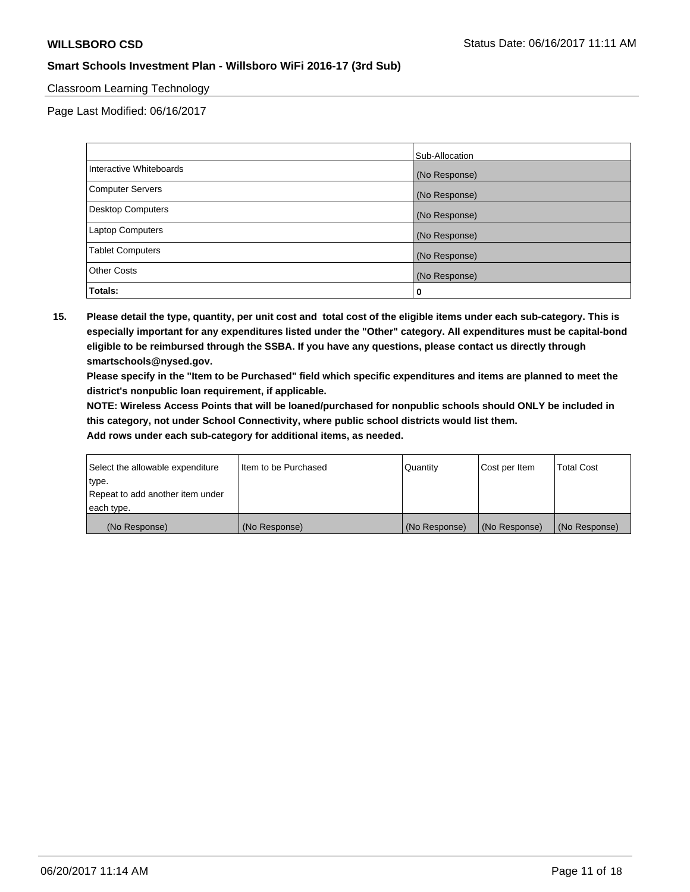#### Classroom Learning Technology

Page Last Modified: 06/16/2017

|                          | Sub-Allocation |
|--------------------------|----------------|
| Interactive Whiteboards  | (No Response)  |
| Computer Servers         | (No Response)  |
| <b>Desktop Computers</b> | (No Response)  |
| Laptop Computers         | (No Response)  |
| <b>Tablet Computers</b>  | (No Response)  |
| <b>Other Costs</b>       | (No Response)  |
| Totals:                  | 0              |

**15. Please detail the type, quantity, per unit cost and total cost of the eligible items under each sub-category. This is especially important for any expenditures listed under the "Other" category. All expenditures must be capital-bond eligible to be reimbursed through the SSBA. If you have any questions, please contact us directly through smartschools@nysed.gov.**

**Please specify in the "Item to be Purchased" field which specific expenditures and items are planned to meet the district's nonpublic loan requirement, if applicable.**

**NOTE: Wireless Access Points that will be loaned/purchased for nonpublic schools should ONLY be included in this category, not under School Connectivity, where public school districts would list them.**

| Select the allowable expenditure | Iltem to be Purchased | Quantity      | Cost per Item | <b>Total Cost</b> |
|----------------------------------|-----------------------|---------------|---------------|-------------------|
| type.                            |                       |               |               |                   |
| Repeat to add another item under |                       |               |               |                   |
| each type.                       |                       |               |               |                   |
| (No Response)                    | (No Response)         | (No Response) | (No Response) | (No Response)     |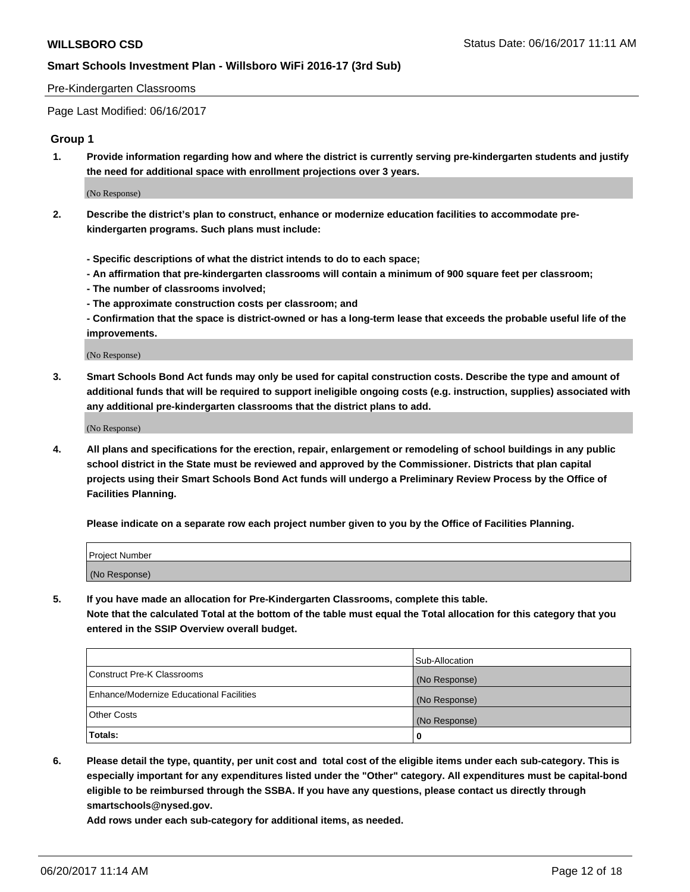#### Pre-Kindergarten Classrooms

Page Last Modified: 06/16/2017

### **Group 1**

**1. Provide information regarding how and where the district is currently serving pre-kindergarten students and justify the need for additional space with enrollment projections over 3 years.**

(No Response)

- **2. Describe the district's plan to construct, enhance or modernize education facilities to accommodate prekindergarten programs. Such plans must include:**
	- **Specific descriptions of what the district intends to do to each space;**
	- **An affirmation that pre-kindergarten classrooms will contain a minimum of 900 square feet per classroom;**
	- **The number of classrooms involved;**
	- **The approximate construction costs per classroom; and**
	- **Confirmation that the space is district-owned or has a long-term lease that exceeds the probable useful life of the improvements.**

(No Response)

**3. Smart Schools Bond Act funds may only be used for capital construction costs. Describe the type and amount of additional funds that will be required to support ineligible ongoing costs (e.g. instruction, supplies) associated with any additional pre-kindergarten classrooms that the district plans to add.**

(No Response)

**4. All plans and specifications for the erection, repair, enlargement or remodeling of school buildings in any public school district in the State must be reviewed and approved by the Commissioner. Districts that plan capital projects using their Smart Schools Bond Act funds will undergo a Preliminary Review Process by the Office of Facilities Planning.**

**Please indicate on a separate row each project number given to you by the Office of Facilities Planning.**

| Project Number |  |
|----------------|--|
| (No Response)  |  |

**5. If you have made an allocation for Pre-Kindergarten Classrooms, complete this table. Note that the calculated Total at the bottom of the table must equal the Total allocation for this category that you entered in the SSIP Overview overall budget.**

| Totals:                                  | 0              |
|------------------------------------------|----------------|
| Other Costs                              | (No Response)  |
| Enhance/Modernize Educational Facilities | (No Response)  |
| Construct Pre-K Classrooms               | (No Response)  |
|                                          | Sub-Allocation |

**6. Please detail the type, quantity, per unit cost and total cost of the eligible items under each sub-category. This is especially important for any expenditures listed under the "Other" category. All expenditures must be capital-bond eligible to be reimbursed through the SSBA. If you have any questions, please contact us directly through smartschools@nysed.gov.**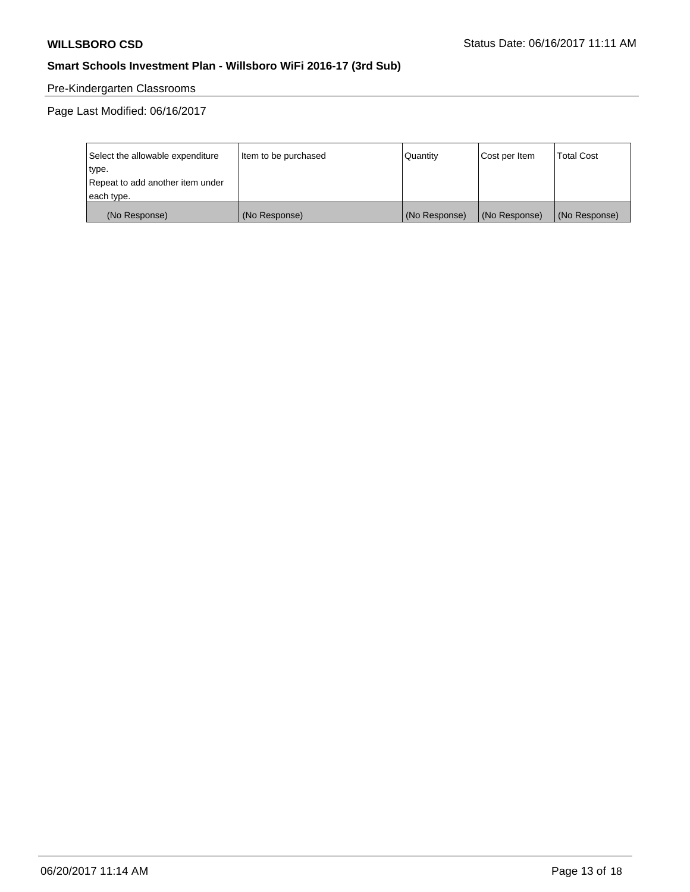# Pre-Kindergarten Classrooms

Page Last Modified: 06/16/2017

| Select the allowable expenditure | Item to be purchased | Quantity      | Cost per Item | <b>Total Cost</b> |
|----------------------------------|----------------------|---------------|---------------|-------------------|
| type.                            |                      |               |               |                   |
| Repeat to add another item under |                      |               |               |                   |
| each type.                       |                      |               |               |                   |
| (No Response)                    | (No Response)        | (No Response) | (No Response) | (No Response)     |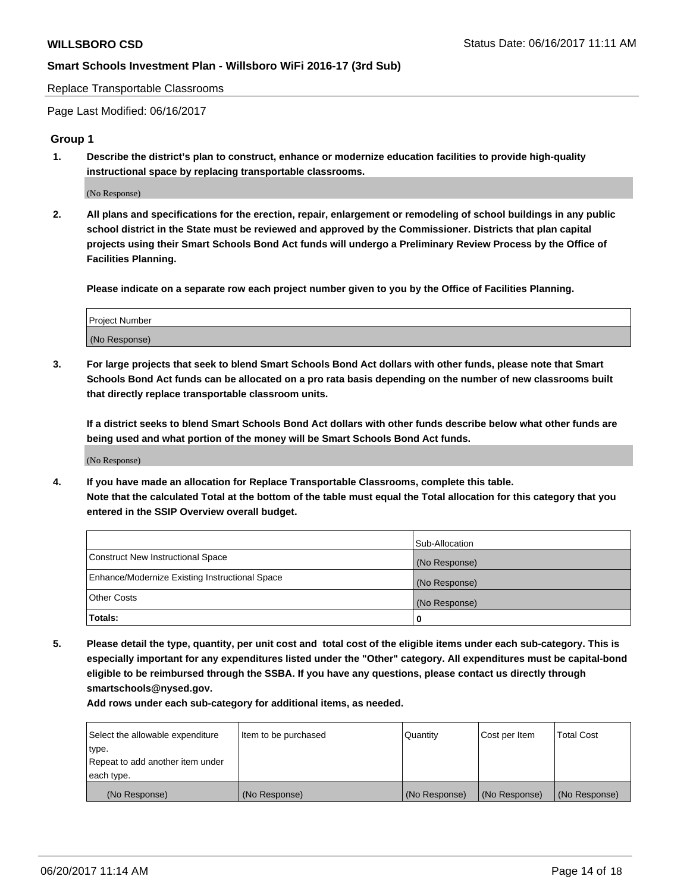Replace Transportable Classrooms

Page Last Modified: 06/16/2017

#### **Group 1**

**1. Describe the district's plan to construct, enhance or modernize education facilities to provide high-quality instructional space by replacing transportable classrooms.**

(No Response)

**2. All plans and specifications for the erection, repair, enlargement or remodeling of school buildings in any public school district in the State must be reviewed and approved by the Commissioner. Districts that plan capital projects using their Smart Schools Bond Act funds will undergo a Preliminary Review Process by the Office of Facilities Planning.**

**Please indicate on a separate row each project number given to you by the Office of Facilities Planning.**

| Project Number |  |
|----------------|--|
| (No Response)  |  |

**3. For large projects that seek to blend Smart Schools Bond Act dollars with other funds, please note that Smart Schools Bond Act funds can be allocated on a pro rata basis depending on the number of new classrooms built that directly replace transportable classroom units.**

**If a district seeks to blend Smart Schools Bond Act dollars with other funds describe below what other funds are being used and what portion of the money will be Smart Schools Bond Act funds.**

(No Response)

**4. If you have made an allocation for Replace Transportable Classrooms, complete this table. Note that the calculated Total at the bottom of the table must equal the Total allocation for this category that you entered in the SSIP Overview overall budget.**

|                                                | Sub-Allocation |
|------------------------------------------------|----------------|
| Construct New Instructional Space              | (No Response)  |
| Enhance/Modernize Existing Instructional Space | (No Response)  |
| Other Costs                                    | (No Response)  |
| Totals:                                        | 0              |

**5. Please detail the type, quantity, per unit cost and total cost of the eligible items under each sub-category. This is especially important for any expenditures listed under the "Other" category. All expenditures must be capital-bond eligible to be reimbursed through the SSBA. If you have any questions, please contact us directly through smartschools@nysed.gov.**

| Select the allowable expenditure | Item to be purchased | Quantity      | Cost per Item | <b>Total Cost</b> |
|----------------------------------|----------------------|---------------|---------------|-------------------|
| type.                            |                      |               |               |                   |
| Repeat to add another item under |                      |               |               |                   |
| each type.                       |                      |               |               |                   |
| (No Response)                    | (No Response)        | (No Response) | (No Response) | (No Response)     |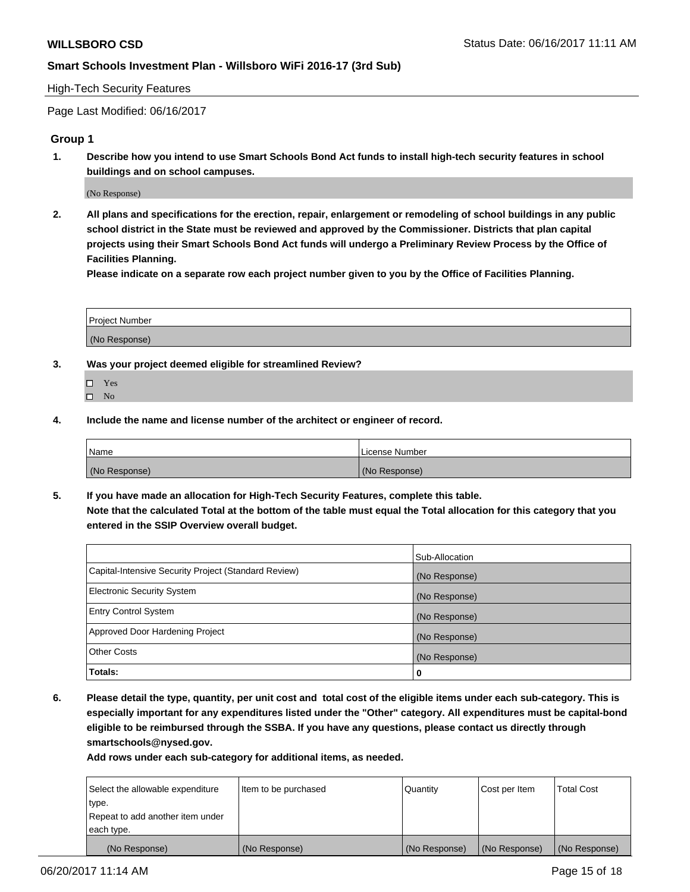#### High-Tech Security Features

Page Last Modified: 06/16/2017

### **Group 1**

**1. Describe how you intend to use Smart Schools Bond Act funds to install high-tech security features in school buildings and on school campuses.**

(No Response)

**2. All plans and specifications for the erection, repair, enlargement or remodeling of school buildings in any public school district in the State must be reviewed and approved by the Commissioner. Districts that plan capital projects using their Smart Schools Bond Act funds will undergo a Preliminary Review Process by the Office of Facilities Planning.** 

**Please indicate on a separate row each project number given to you by the Office of Facilities Planning.**

| Project Number |  |
|----------------|--|
|                |  |
| (No Response)  |  |

- **3. Was your project deemed eligible for streamlined Review?**
	- Yes  $\hfill \square$  No
- **4. Include the name and license number of the architect or engineer of record.**

| <b>Name</b>   | License Number |
|---------------|----------------|
| (No Response) | (No Response)  |

**5. If you have made an allocation for High-Tech Security Features, complete this table. Note that the calculated Total at the bottom of the table must equal the Total allocation for this category that you entered in the SSIP Overview overall budget.**

|                                                      | Sub-Allocation |
|------------------------------------------------------|----------------|
| Capital-Intensive Security Project (Standard Review) | (No Response)  |
| Electronic Security System                           | (No Response)  |
| <b>Entry Control System</b>                          | (No Response)  |
| Approved Door Hardening Project                      | (No Response)  |
| <b>Other Costs</b>                                   | (No Response)  |
| Totals:                                              | 0              |

**6. Please detail the type, quantity, per unit cost and total cost of the eligible items under each sub-category. This is especially important for any expenditures listed under the "Other" category. All expenditures must be capital-bond eligible to be reimbursed through the SSBA. If you have any questions, please contact us directly through smartschools@nysed.gov.**

| (No Response)                    | (No Response)        | (No Response) | (No Response) | (No Response)     |
|----------------------------------|----------------------|---------------|---------------|-------------------|
| each type.                       |                      |               |               |                   |
| Repeat to add another item under |                      |               |               |                   |
| type.                            |                      |               |               |                   |
| Select the allowable expenditure | Item to be purchased | Quantity      | Cost per Item | <b>Total Cost</b> |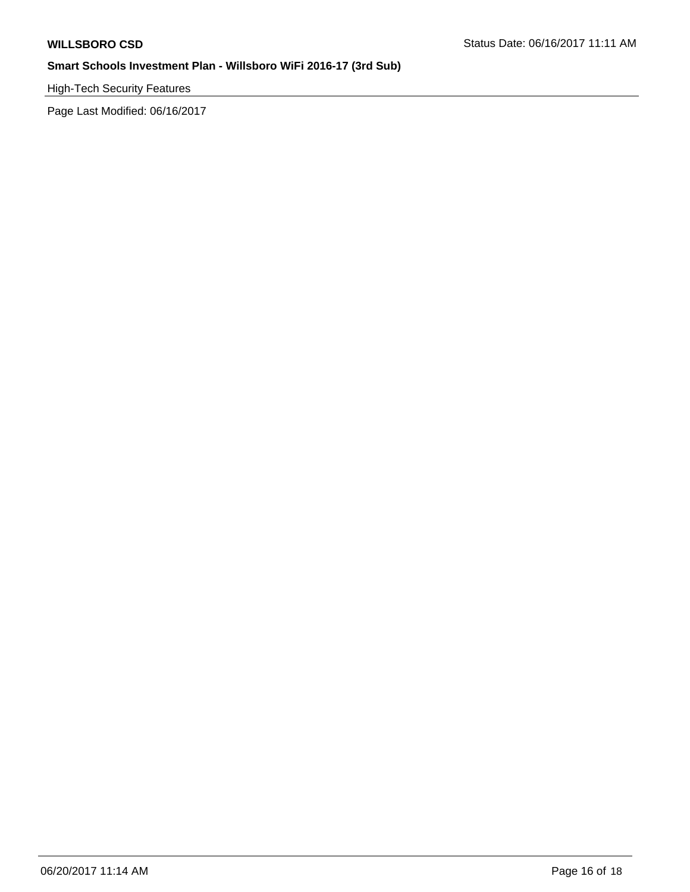High-Tech Security Features

Page Last Modified: 06/16/2017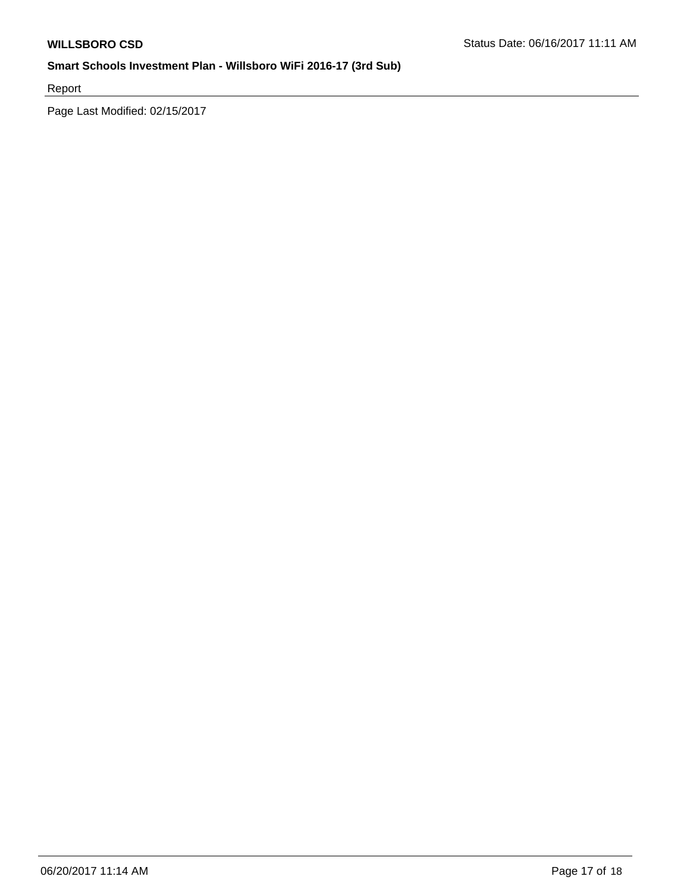Report

Page Last Modified: 02/15/2017